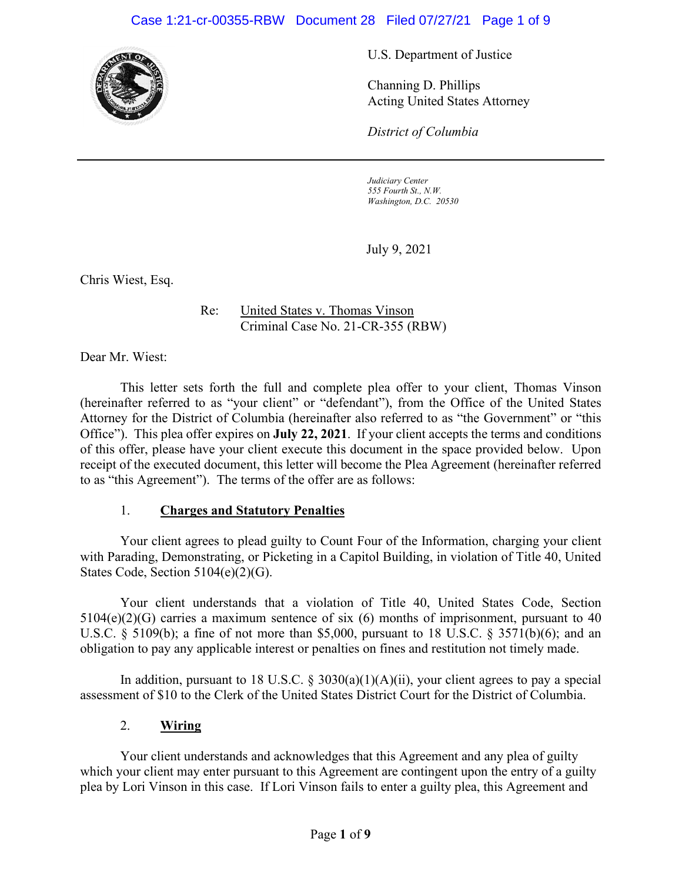#### Case 1:21-cr-00355-RBW Document 28 Filed 07/27/21 Page 1 of 9



U.S. Department of Justice

Channing D. Phillips Acting United States Attorney

*District of Columbia*

*Judiciary Center 555 Fourth St., N.W. Washington, D.C. 20530*

July 9, 2021

Chris Wiest, Esq.

Re: United States v. Thomas Vinson Criminal Case No. 21-CR-355 (RBW)

Dear Mr. Wiest:

This letter sets forth the full and complete plea offer to your client, Thomas Vinson (hereinafter referred to as "your client" or "defendant"), from the Office of the United States Attorney for the District of Columbia (hereinafter also referred to as "the Government" or "this Office"). This plea offer expires on **July 22, 2021**. If your client accepts the terms and conditions of this offer, please have your client execute this document in the space provided below. Upon receipt of the executed document, this letter will become the Plea Agreement (hereinafter referred to as "this Agreement"). The terms of the offer are as follows:

#### 1. **Charges and Statutory Penalties**

Your client agrees to plead guilty to Count Four of the Information, charging your client with Parading, Demonstrating, or Picketing in a Capitol Building, in violation of Title 40, United States Code, Section 5104(e)(2)(G).

Your client understands that a violation of Title 40, United States Code, Section  $5104(e)(2)(G)$  carries a maximum sentence of six (6) months of imprisonment, pursuant to 40 U.S.C. § 5109(b); a fine of not more than \$5,000, pursuant to 18 U.S.C. § 3571(b)(6); and an obligation to pay any applicable interest or penalties on fines and restitution not timely made.

In addition, pursuant to 18 U.S.C.  $\S$  3030(a)(1)(A)(ii), your client agrees to pay a special assessment of \$10 to the Clerk of the United States District Court for the District of Columbia.

#### 2. **Wiring**

Your client understands and acknowledges that this Agreement and any plea of guilty which your client may enter pursuant to this Agreement are contingent upon the entry of a guilty plea by Lori Vinson in this case. If Lori Vinson fails to enter a guilty plea, this Agreement and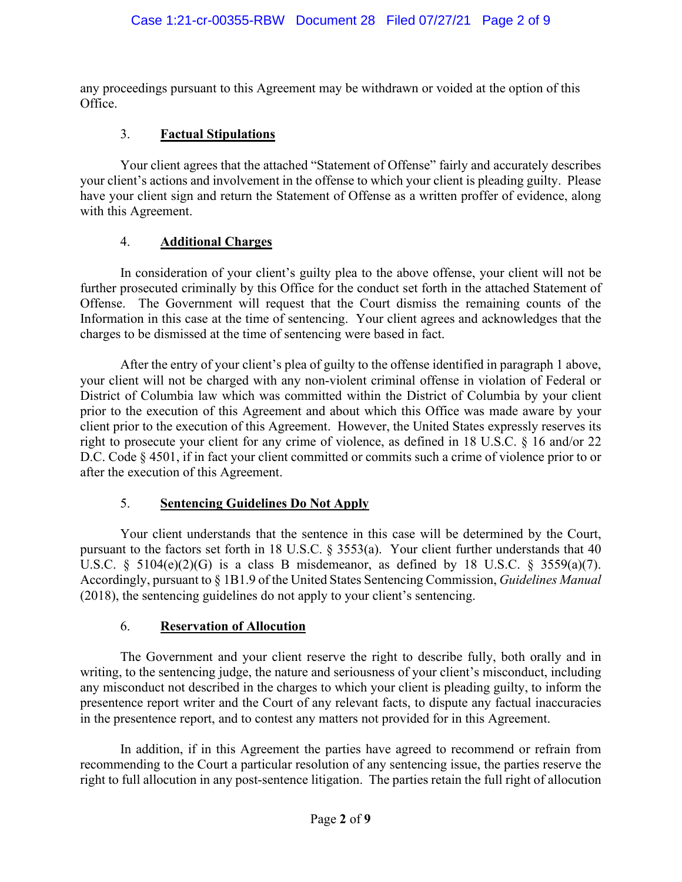any proceedings pursuant to this Agreement may be withdrawn or voided at the option of this Office.

# 3. **Factual Stipulations**

Your client agrees that the attached "Statement of Offense" fairly and accurately describes your client's actions and involvement in the offense to which your client is pleading guilty. Please have your client sign and return the Statement of Offense as a written proffer of evidence, along with this Agreement.

#### 4. **Additional Charges**

In consideration of your client's guilty plea to the above offense, your client will not be further prosecuted criminally by this Office for the conduct set forth in the attached Statement of Offense. The Government will request that the Court dismiss the remaining counts of the Information in this case at the time of sentencing. Your client agrees and acknowledges that the charges to be dismissed at the time of sentencing were based in fact.

After the entry of your client's plea of guilty to the offense identified in paragraph 1 above, your client will not be charged with any non-violent criminal offense in violation of Federal or District of Columbia law which was committed within the District of Columbia by your client prior to the execution of this Agreement and about which this Office was made aware by your client prior to the execution of this Agreement. However, the United States expressly reserves its right to prosecute your client for any crime of violence, as defined in 18 U.S.C. § 16 and/or 22 D.C. Code § 4501, if in fact your client committed or commits such a crime of violence prior to or after the execution of this Agreement.

# 5. **Sentencing Guidelines Do Not Apply**

Your client understands that the sentence in this case will be determined by the Court, pursuant to the factors set forth in 18 U.S.C. § 3553(a). Your client further understands that 40 U.S.C. §  $5104(e)(2)(G)$  is a class B misdemeanor, as defined by 18 U.S.C. §  $3559(a)(7)$ . Accordingly, pursuant to § 1B1.9 of the United States Sentencing Commission, *Guidelines Manual* (2018), the sentencing guidelines do not apply to your client's sentencing.

#### 6. **Reservation of Allocution**

The Government and your client reserve the right to describe fully, both orally and in writing, to the sentencing judge, the nature and seriousness of your client's misconduct, including any misconduct not described in the charges to which your client is pleading guilty, to inform the presentence report writer and the Court of any relevant facts, to dispute any factual inaccuracies in the presentence report, and to contest any matters not provided for in this Agreement.

In addition, if in this Agreement the parties have agreed to recommend or refrain from recommending to the Court a particular resolution of any sentencing issue, the parties reserve the right to full allocution in any post-sentence litigation. The parties retain the full right of allocution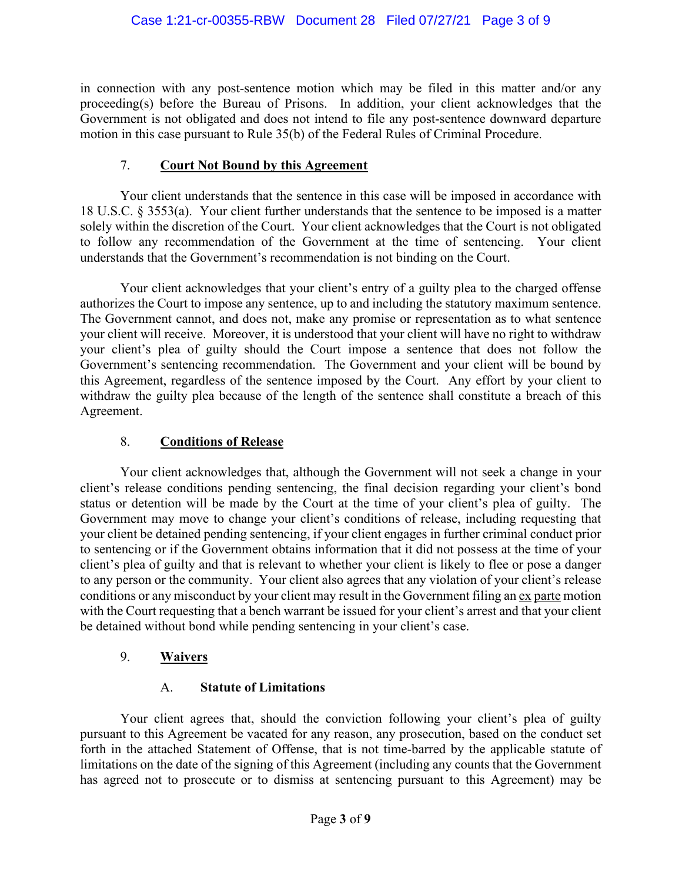in connection with any post-sentence motion which may be filed in this matter and/or any proceeding(s) before the Bureau of Prisons. In addition, your client acknowledges that the Government is not obligated and does not intend to file any post-sentence downward departure motion in this case pursuant to Rule 35(b) of the Federal Rules of Criminal Procedure.

### 7. **Court Not Bound by this Agreement**

Your client understands that the sentence in this case will be imposed in accordance with 18 U.S.C. § 3553(a). Your client further understands that the sentence to be imposed is a matter solely within the discretion of the Court. Your client acknowledges that the Court is not obligated to follow any recommendation of the Government at the time of sentencing. Your client understands that the Government's recommendation is not binding on the Court.

Your client acknowledges that your client's entry of a guilty plea to the charged offense authorizes the Court to impose any sentence, up to and including the statutory maximum sentence. The Government cannot, and does not, make any promise or representation as to what sentence your client will receive. Moreover, it is understood that your client will have no right to withdraw your client's plea of guilty should the Court impose a sentence that does not follow the Government's sentencing recommendation. The Government and your client will be bound by this Agreement, regardless of the sentence imposed by the Court. Any effort by your client to withdraw the guilty plea because of the length of the sentence shall constitute a breach of this Agreement.

### 8. **Conditions of Release**

Your client acknowledges that, although the Government will not seek a change in your client's release conditions pending sentencing, the final decision regarding your client's bond status or detention will be made by the Court at the time of your client's plea of guilty. The Government may move to change your client's conditions of release, including requesting that your client be detained pending sentencing, if your client engages in further criminal conduct prior to sentencing or if the Government obtains information that it did not possess at the time of your client's plea of guilty and that is relevant to whether your client is likely to flee or pose a danger to any person or the community. Your client also agrees that any violation of your client's release conditions or any misconduct by your client may result in the Government filing an ex parte motion with the Court requesting that a bench warrant be issued for your client's arrest and that your client be detained without bond while pending sentencing in your client's case.

# 9. **Waivers**

# A. **Statute of Limitations**

Your client agrees that, should the conviction following your client's plea of guilty pursuant to this Agreement be vacated for any reason, any prosecution, based on the conduct set forth in the attached Statement of Offense, that is not time-barred by the applicable statute of limitations on the date of the signing of this Agreement (including any counts that the Government has agreed not to prosecute or to dismiss at sentencing pursuant to this Agreement) may be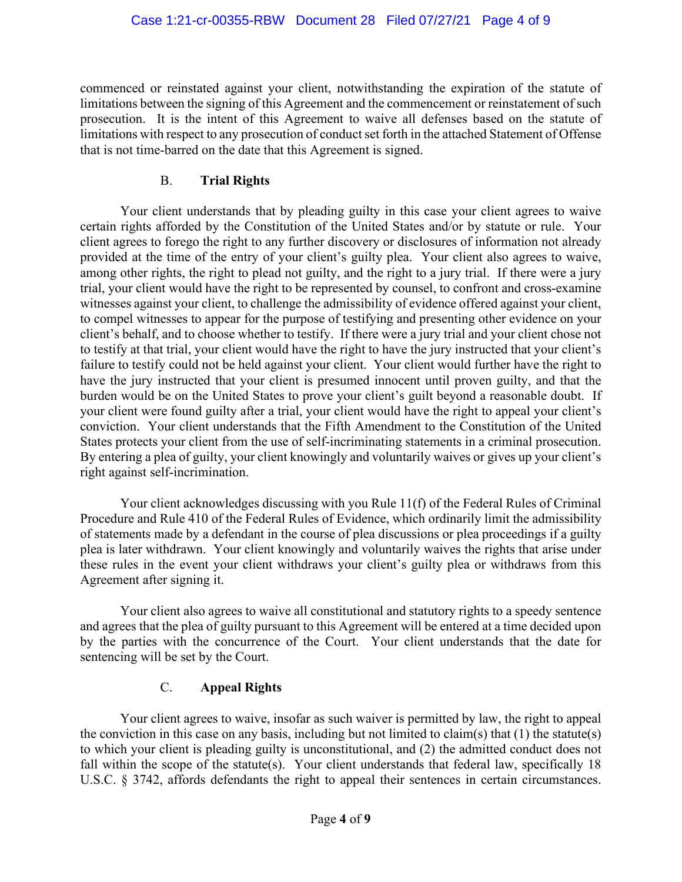commenced or reinstated against your client, notwithstanding the expiration of the statute of limitations between the signing of this Agreement and the commencement or reinstatement of such prosecution. It is the intent of this Agreement to waive all defenses based on the statute of limitations with respect to any prosecution of conduct set forth in the attached Statement of Offense that is not time-barred on the date that this Agreement is signed.

#### B. **Trial Rights**

Your client understands that by pleading guilty in this case your client agrees to waive certain rights afforded by the Constitution of the United States and/or by statute or rule. Your client agrees to forego the right to any further discovery or disclosures of information not already provided at the time of the entry of your client's guilty plea. Your client also agrees to waive, among other rights, the right to plead not guilty, and the right to a jury trial. If there were a jury trial, your client would have the right to be represented by counsel, to confront and cross-examine witnesses against your client, to challenge the admissibility of evidence offered against your client, to compel witnesses to appear for the purpose of testifying and presenting other evidence on your client's behalf, and to choose whether to testify. If there were a jury trial and your client chose not to testify at that trial, your client would have the right to have the jury instructed that your client's failure to testify could not be held against your client. Your client would further have the right to have the jury instructed that your client is presumed innocent until proven guilty, and that the burden would be on the United States to prove your client's guilt beyond a reasonable doubt. If your client were found guilty after a trial, your client would have the right to appeal your client's conviction. Your client understands that the Fifth Amendment to the Constitution of the United States protects your client from the use of self-incriminating statements in a criminal prosecution. By entering a plea of guilty, your client knowingly and voluntarily waives or gives up your client's right against self-incrimination.

Your client acknowledges discussing with you Rule 11(f) of the Federal Rules of Criminal Procedure and Rule 410 of the Federal Rules of Evidence, which ordinarily limit the admissibility of statements made by a defendant in the course of plea discussions or plea proceedings if a guilty plea is later withdrawn. Your client knowingly and voluntarily waives the rights that arise under these rules in the event your client withdraws your client's guilty plea or withdraws from this Agreement after signing it.

Your client also agrees to waive all constitutional and statutory rights to a speedy sentence and agrees that the plea of guilty pursuant to this Agreement will be entered at a time decided upon by the parties with the concurrence of the Court. Your client understands that the date for sentencing will be set by the Court.

# C. **Appeal Rights**

Your client agrees to waive, insofar as such waiver is permitted by law, the right to appeal the conviction in this case on any basis, including but not limited to claim(s) that  $(1)$  the statute(s) to which your client is pleading guilty is unconstitutional, and (2) the admitted conduct does not fall within the scope of the statute(s). Your client understands that federal law, specifically 18 U.S.C. § 3742, affords defendants the right to appeal their sentences in certain circumstances.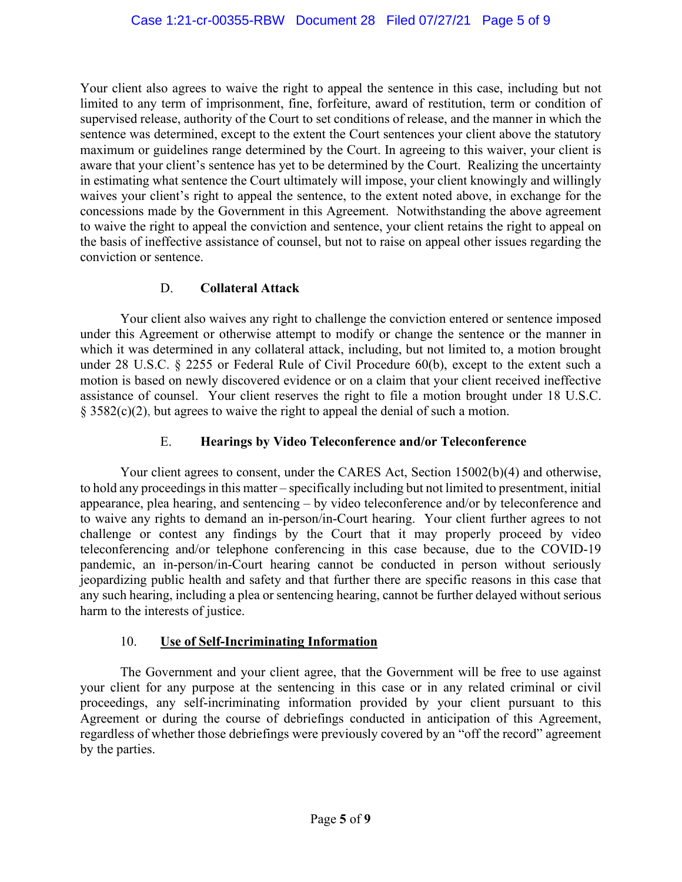Your client also agrees to waive the right to appeal the sentence in this case, including but not limited to any term of imprisonment, fine, forfeiture, award of restitution, term or condition of supervised release, authority of the Court to set conditions of release, and the manner in which the sentence was determined, except to the extent the Court sentences your client above the statutory maximum or guidelines range determined by the Court. In agreeing to this waiver, your client is aware that your client's sentence has yet to be determined by the Court. Realizing the uncertainty in estimating what sentence the Court ultimately will impose, your client knowingly and willingly waives your client's right to appeal the sentence, to the extent noted above, in exchange for the concessions made by the Government in this Agreement. Notwithstanding the above agreement to waive the right to appeal the conviction and sentence, your client retains the right to appeal on the basis of ineffective assistance of counsel, but not to raise on appeal other issues regarding the conviction or sentence.

#### D. **Collateral Attack**

Your client also waives any right to challenge the conviction entered or sentence imposed under this Agreement or otherwise attempt to modify or change the sentence or the manner in which it was determined in any collateral attack, including, but not limited to, a motion brought under 28 U.S.C. § 2255 or Federal Rule of Civil Procedure 60(b), except to the extent such a motion is based on newly discovered evidence or on a claim that your client received ineffective assistance of counsel. Your client reserves the right to file a motion brought under 18 U.S.C. § 3582(c)(2), but agrees to waive the right to appeal the denial of such a motion.

### E. **Hearings by Video Teleconference and/or Teleconference**

Your client agrees to consent, under the CARES Act, Section 15002(b)(4) and otherwise, to hold any proceedings in this matter – specifically including but not limited to presentment, initial appearance, plea hearing, and sentencing – by video teleconference and/or by teleconference and to waive any rights to demand an in-person/in-Court hearing. Your client further agrees to not challenge or contest any findings by the Court that it may properly proceed by video teleconferencing and/or telephone conferencing in this case because, due to the COVID-19 pandemic, an in-person/in-Court hearing cannot be conducted in person without seriously jeopardizing public health and safety and that further there are specific reasons in this case that any such hearing, including a plea or sentencing hearing, cannot be further delayed without serious harm to the interests of justice.

# 10. **Use of Self-Incriminating Information**

The Government and your client agree, that the Government will be free to use against your client for any purpose at the sentencing in this case or in any related criminal or civil proceedings, any self-incriminating information provided by your client pursuant to this Agreement or during the course of debriefings conducted in anticipation of this Agreement, regardless of whether those debriefings were previously covered by an "off the record" agreement by the parties.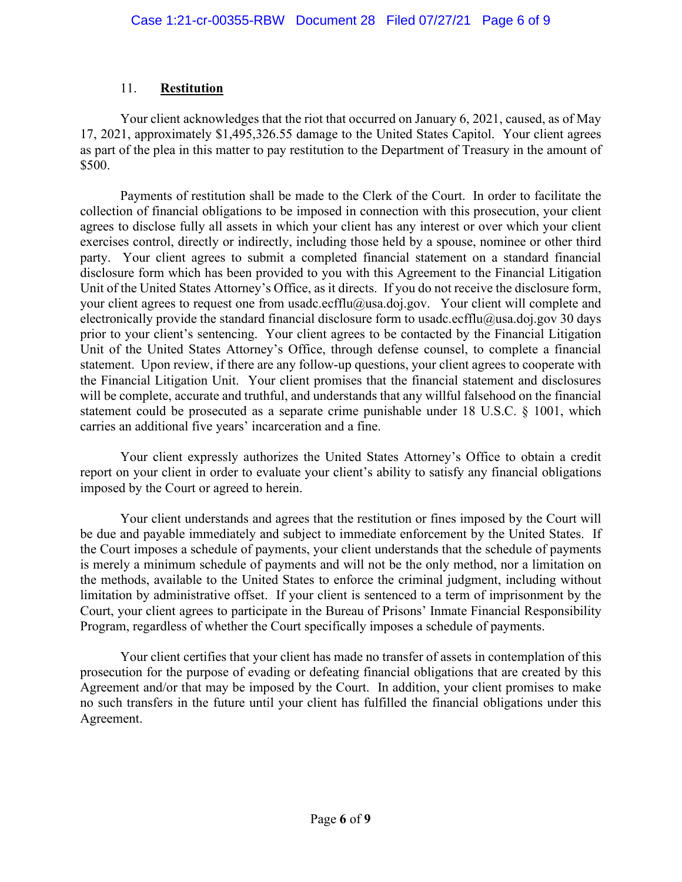### 11. **Restitution**

Your client acknowledges that the riot that occurred on January 6, 2021, caused, as of May 17, 2021, approximately \$1,495,326.55 damage to the United States Capitol. Your client agrees as part of the plea in this matter to pay restitution to the Department of Treasury in the amount of \$500.

Payments of restitution shall be made to the Clerk of the Court. In order to facilitate the collection of financial obligations to be imposed in connection with this prosecution, your client agrees to disclose fully all assets in which your client has any interest or over which your client exercises control, directly or indirectly, including those held by a spouse, nominee or other third party. Your client agrees to submit a completed financial statement on a standard financial disclosure form which has been provided to you with this Agreement to the Financial Litigation Unit of the United States Attorney's Office, as it directs. If you do not receive the disclosure form, your client agrees to request one from usadc.ecfflu@usa.doj.gov. Your client will complete and electronically provide the standard financial disclosure form to usadc.ecfflu@usa.doj.gov 30 days prior to your client's sentencing. Your client agrees to be contacted by the Financial Litigation Unit of the United States Attorney's Office, through defense counsel, to complete a financial statement. Upon review, if there are any follow-up questions, your client agrees to cooperate with the Financial Litigation Unit. Your client promises that the financial statement and disclosures will be complete, accurate and truthful, and understands that any willful falsehood on the financial statement could be prosecuted as a separate crime punishable under 18 U.S.C. § 1001, which carries an additional five years' incarceration and a fine.

Your client expressly authorizes the United States Attorney's Office to obtain a credit report on your client in order to evaluate your client's ability to satisfy any financial obligations imposed by the Court or agreed to herein.

Your client understands and agrees that the restitution or fines imposed by the Court will be due and payable immediately and subject to immediate enforcement by the United States. If the Court imposes a schedule of payments, your client understands that the schedule of payments is merely a minimum schedule of payments and will not be the only method, nor a limitation on the methods, available to the United States to enforce the criminal judgment, including without limitation by administrative offset. If your client is sentenced to a term of imprisonment by the Court, your client agrees to participate in the Bureau of Prisons' Inmate Financial Responsibility Program, regardless of whether the Court specifically imposes a schedule of payments.

Your client certifies that your client has made no transfer of assets in contemplation of this prosecution for the purpose of evading or defeating financial obligations that are created by this Agreement and/or that may be imposed by the Court. In addition, your client promises to make no such transfers in the future until your client has fulfilled the financial obligations under this Agreement.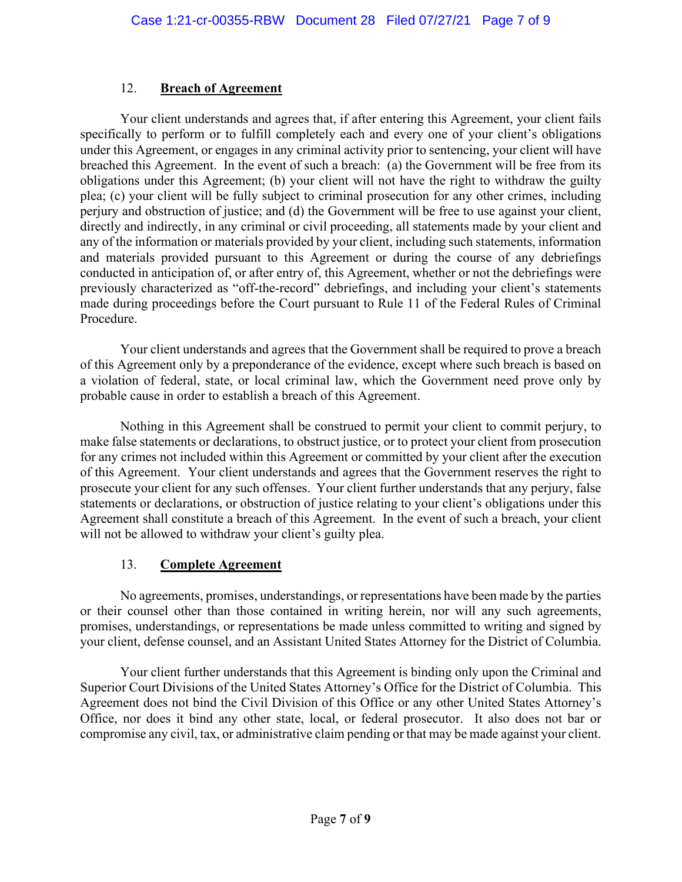### 12. **Breach of Agreement**

Your client understands and agrees that, if after entering this Agreement, your client fails specifically to perform or to fulfill completely each and every one of your client's obligations under this Agreement, or engages in any criminal activity prior to sentencing, your client will have breached this Agreement. In the event of such a breach: (a) the Government will be free from its obligations under this Agreement; (b) your client will not have the right to withdraw the guilty plea; (c) your client will be fully subject to criminal prosecution for any other crimes, including perjury and obstruction of justice; and (d) the Government will be free to use against your client, directly and indirectly, in any criminal or civil proceeding, all statements made by your client and any of the information or materials provided by your client, including such statements, information and materials provided pursuant to this Agreement or during the course of any debriefings conducted in anticipation of, or after entry of, this Agreement, whether or not the debriefings were previously characterized as "off-the-record" debriefings, and including your client's statements made during proceedings before the Court pursuant to Rule 11 of the Federal Rules of Criminal Procedure.

Your client understands and agrees that the Government shall be required to prove a breach of this Agreement only by a preponderance of the evidence, except where such breach is based on a violation of federal, state, or local criminal law, which the Government need prove only by probable cause in order to establish a breach of this Agreement.

Nothing in this Agreement shall be construed to permit your client to commit perjury, to make false statements or declarations, to obstruct justice, or to protect your client from prosecution for any crimes not included within this Agreement or committed by your client after the execution of this Agreement. Your client understands and agrees that the Government reserves the right to prosecute your client for any such offenses. Your client further understands that any perjury, false statements or declarations, or obstruction of justice relating to your client's obligations under this Agreement shall constitute a breach of this Agreement. In the event of such a breach, your client will not be allowed to withdraw your client's guilty plea.

# 13. **Complete Agreement**

No agreements, promises, understandings, or representations have been made by the parties or their counsel other than those contained in writing herein, nor will any such agreements, promises, understandings, or representations be made unless committed to writing and signed by your client, defense counsel, and an Assistant United States Attorney for the District of Columbia.

Your client further understands that this Agreement is binding only upon the Criminal and Superior Court Divisions of the United States Attorney's Office for the District of Columbia. This Agreement does not bind the Civil Division of this Office or any other United States Attorney's Office, nor does it bind any other state, local, or federal prosecutor. It also does not bar or compromise any civil, tax, or administrative claim pending or that may be made against your client.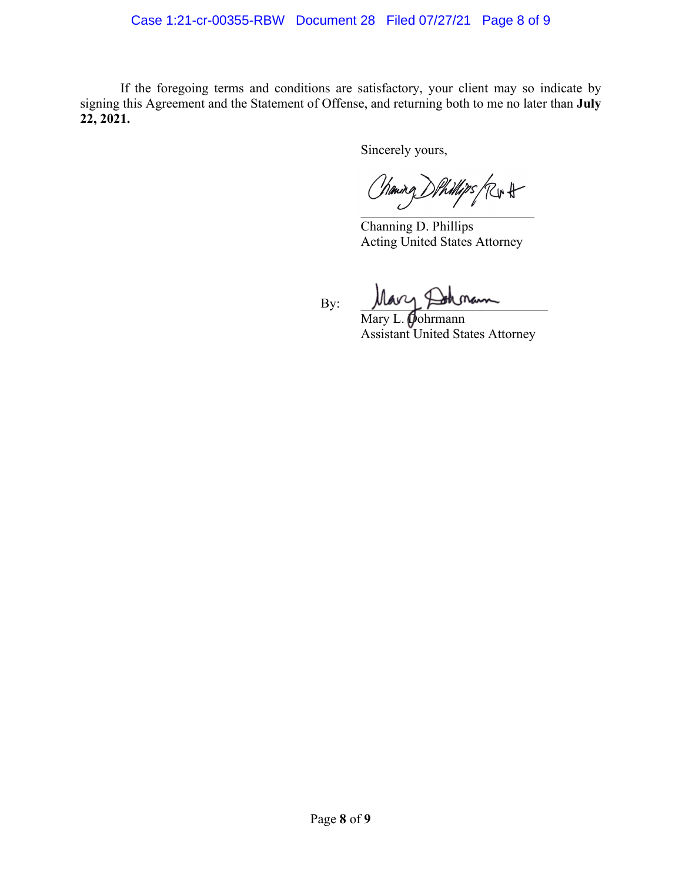#### Case 1:21-cr-00355-RBW Document 28 Filed 07/27/21 Page 8 of 9

If the foregoing terms and conditions are satisfactory, your client may so indicate by signing this Agreement and the Statement of Offense, and returning both to me no later than **July 22, 2021.**

Sincerely yours,

Chaning DPhillips (Rir H

Channing D. Phillips Acting United States Attorney

 $By:$  Mary &

Mary L. **Dohrmann** Assistant United States Attorney